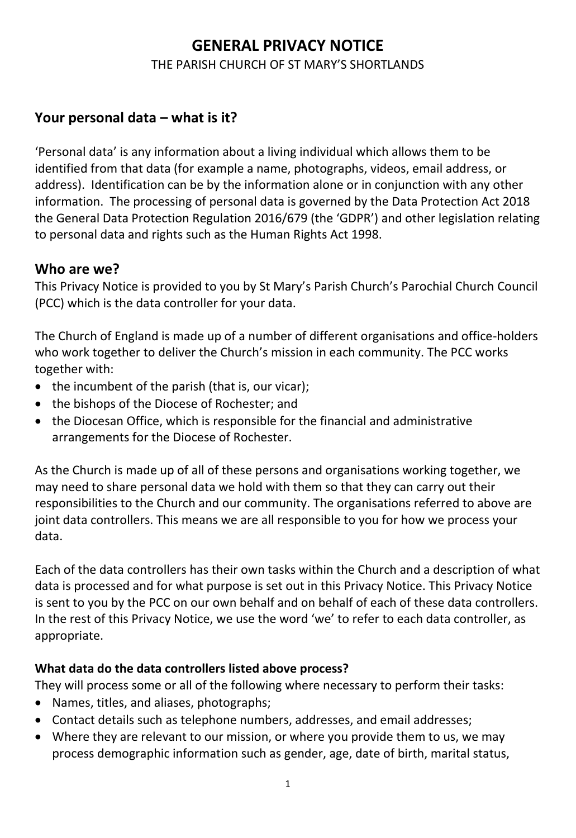# **GENERAL PRIVACY NOTICE**

THE PARISH CHURCH OF ST MARY'S SHORTLANDS

#### **Your personal data – what is it?**

'Personal data' is any information about a living individual which allows them to be identified from that data (for example a name, photographs, videos, email address, or address). Identification can be by the information alone or in conjunction with any other information. The processing of personal data is governed by the Data Protection Act 2018 the General Data Protection Regulation 2016/679 (the 'GDPR') and other legislation relating to personal data and rights such as the Human Rights Act 1998.

#### **Who are we?**

This Privacy Notice is provided to you by St Mary's Parish Church's Parochial Church Council (PCC) which is the data controller for your data.

The Church of England is made up of a number of different organisations and office-holders who work together to deliver the Church's mission in each community. The PCC works together with:

- the incumbent of the parish (that is, our vicar);
- the bishops of the Diocese of Rochester; and
- the Diocesan Office, which is responsible for the financial and administrative arrangements for the Diocese of Rochester.

As the Church is made up of all of these persons and organisations working together, we may need to share personal data we hold with them so that they can carry out their responsibilities to the Church and our community. The organisations referred to above are joint data controllers. This means we are all responsible to you for how we process your data.

Each of the data controllers has their own tasks within the Church and a description of what data is processed and for what purpose is set out in this Privacy Notice. This Privacy Notice is sent to you by the PCC on our own behalf and on behalf of each of these data controllers. In the rest of this Privacy Notice, we use the word 'we' to refer to each data controller, as appropriate.

#### **What data do the data controllers listed above process?**

They will process some or all of the following where necessary to perform their tasks:

- Names, titles, and aliases, photographs;
- Contact details such as telephone numbers, addresses, and email addresses;
- Where they are relevant to our mission, or where you provide them to us, we may process demographic information such as gender, age, date of birth, marital status,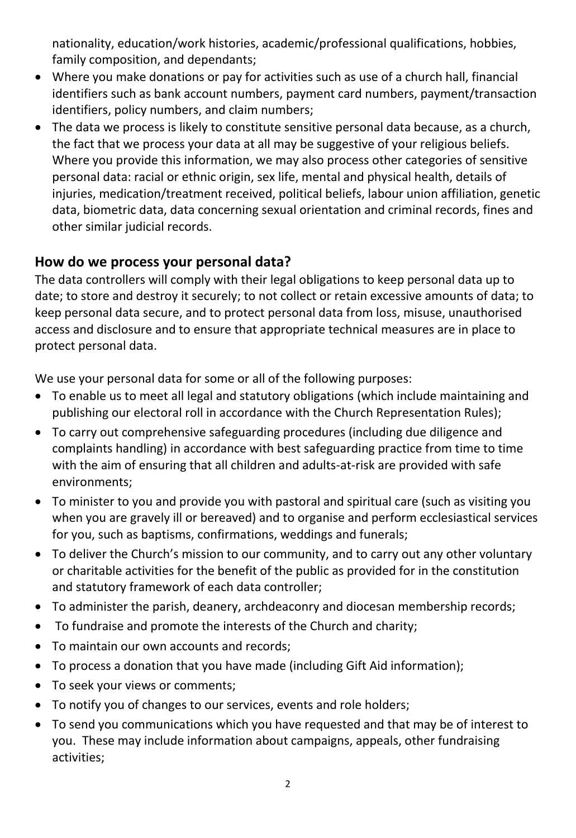nationality, education/work histories, academic/professional qualifications, hobbies, family composition, and dependants;

- Where you make donations or pay for activities such as use of a church hall, financial identifiers such as bank account numbers, payment card numbers, payment/transaction identifiers, policy numbers, and claim numbers;
- The data we process is likely to constitute sensitive personal data because, as a church, the fact that we process your data at all may be suggestive of your religious beliefs. Where you provide this information, we may also process other categories of sensitive personal data: racial or ethnic origin, sex life, mental and physical health, details of injuries, medication/treatment received, political beliefs, labour union affiliation, genetic data, biometric data, data concerning sexual orientation and criminal records, fines and other similar judicial records.

## **How do we process your personal data?**

The data controllers will comply with their legal obligations to keep personal data up to date; to store and destroy it securely; to not collect or retain excessive amounts of data; to keep personal data secure, and to protect personal data from loss, misuse, unauthorised access and disclosure and to ensure that appropriate technical measures are in place to protect personal data.

We use your personal data for some or all of the following purposes:

- To enable us to meet all legal and statutory obligations (which include maintaining and publishing our electoral roll in accordance with the Church Representation Rules);
- To carry out comprehensive safeguarding procedures (including due diligence and complaints handling) in accordance with best safeguarding practice from time to time with the aim of ensuring that all children and adults-at-risk are provided with safe environments;
- To minister to you and provide you with pastoral and spiritual care (such as visiting you when you are gravely ill or bereaved) and to organise and perform ecclesiastical services for you, such as baptisms, confirmations, weddings and funerals;
- To deliver the Church's mission to our community, and to carry out any other voluntary or charitable activities for the benefit of the public as provided for in the constitution and statutory framework of each data controller;
- To administer the parish, deanery, archdeaconry and diocesan membership records;
- To fundraise and promote the interests of the Church and charity;
- To maintain our own accounts and records;
- To process a donation that you have made (including Gift Aid information);
- To seek your views or comments;
- To notify you of changes to our services, events and role holders;
- To send you communications which you have requested and that may be of interest to you. These may include information about campaigns, appeals, other fundraising activities;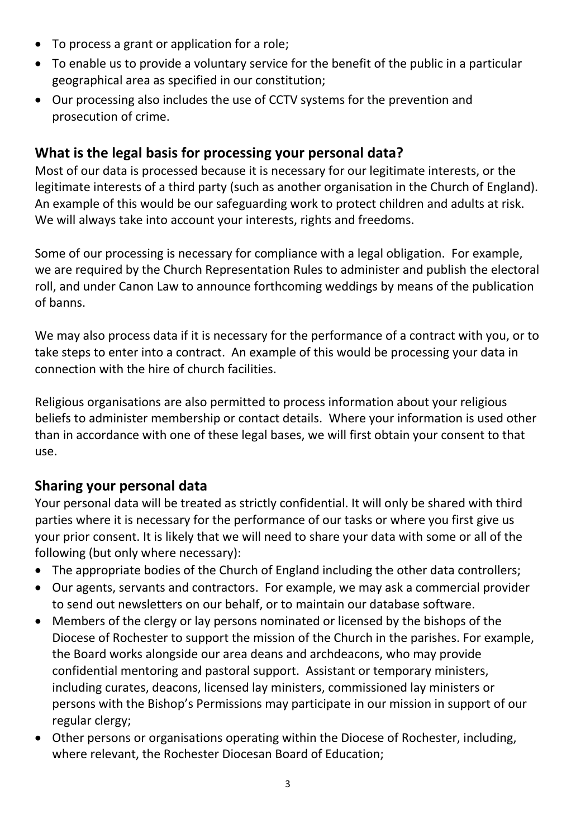- To process a grant or application for a role;
- To enable us to provide a voluntary service for the benefit of the public in a particular geographical area as specified in our constitution;
- Our processing also includes the use of CCTV systems for the prevention and prosecution of crime.

## **What is the legal basis for processing your personal data?**

Most of our data is processed because it is necessary for our legitimate interests, or the legitimate interests of a third party (such as another organisation in the Church of England). An example of this would be our safeguarding work to protect children and adults at risk. We will always take into account your interests, rights and freedoms.

Some of our processing is necessary for compliance with a legal obligation. For example, we are required by the Church Representation Rules to administer and publish the electoral roll, and under Canon Law to announce forthcoming weddings by means of the publication of banns.

We may also process data if it is necessary for the performance of a contract with you, or to take steps to enter into a contract. An example of this would be processing your data in connection with the hire of church facilities.

Religious organisations are also permitted to process information about your religious beliefs to administer membership or contact details. Where your information is used other than in accordance with one of these legal bases, we will first obtain your consent to that use.

# **Sharing your personal data**

Your personal data will be treated as strictly confidential. It will only be shared with third parties where it is necessary for the performance of our tasks or where you first give us your prior consent. It is likely that we will need to share your data with some or all of the following (but only where necessary):

- The appropriate bodies of the Church of England including the other data controllers;
- Our agents, servants and contractors. For example, we may ask a commercial provider to send out newsletters on our behalf, or to maintain our database software.
- Members of the clergy or lay persons nominated or licensed by the bishops of the Diocese of Rochester to support the mission of the Church in the parishes. For example, the Board works alongside our area deans and archdeacons, who may provide confidential mentoring and pastoral support. Assistant or temporary ministers, including curates, deacons, licensed lay ministers, commissioned lay ministers or persons with the Bishop's Permissions may participate in our mission in support of our regular clergy;
- Other persons or organisations operating within the Diocese of Rochester, including, where relevant, the Rochester Diocesan Board of Education;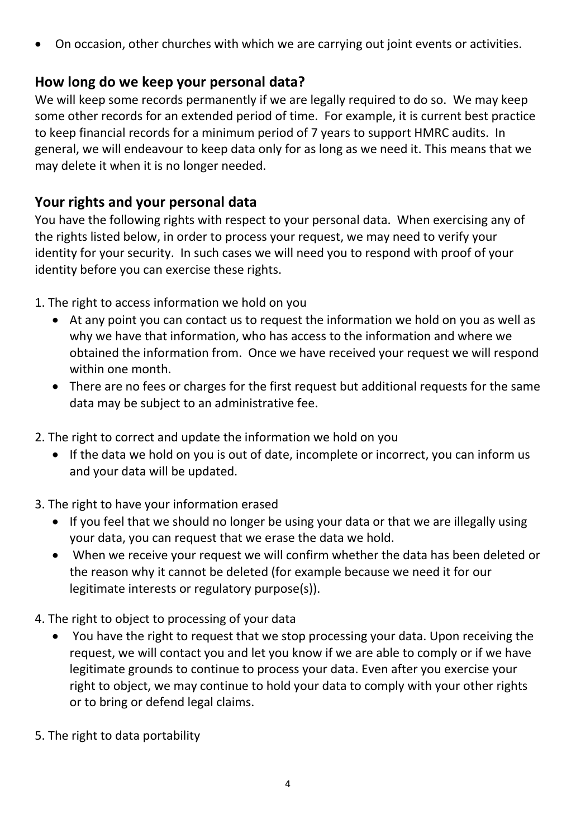• On occasion, other churches with which we are carrying out joint events or activities.

## **How long do we keep your personal data?**

We will keep some records permanently if we are legally required to do so. We may keep some other records for an extended period of time. For example, it is current best practice to keep financial records for a minimum period of 7 years to support HMRC audits. In general, we will endeavour to keep data only for as long as we need it. This means that we may delete it when it is no longer needed.

## **Your rights and your personal data**

You have the following rights with respect to your personal data. When exercising any of the rights listed below, in order to process your request, we may need to verify your identity for your security. In such cases we will need you to respond with proof of your identity before you can exercise these rights.

- 1. The right to access information we hold on you
	- At any point you can contact us to request the information we hold on you as well as why we have that information, who has access to the information and where we obtained the information from. Once we have received your request we will respond within one month.
	- There are no fees or charges for the first request but additional requests for the same data may be subject to an administrative fee.
- 2. The right to correct and update the information we hold on you
	- If the data we hold on you is out of date, incomplete or incorrect, you can inform us and your data will be updated.
- 3. The right to have your information erased
	- If you feel that we should no longer be using your data or that we are illegally using your data, you can request that we erase the data we hold.
	- When we receive your request we will confirm whether the data has been deleted or the reason why it cannot be deleted (for example because we need it for our legitimate interests or regulatory purpose(s)).
- 4. The right to object to processing of your data
	- You have the right to request that we stop processing your data. Upon receiving the request, we will contact you and let you know if we are able to comply or if we have legitimate grounds to continue to process your data. Even after you exercise your right to object, we may continue to hold your data to comply with your other rights or to bring or defend legal claims.
- 5. The right to data portability